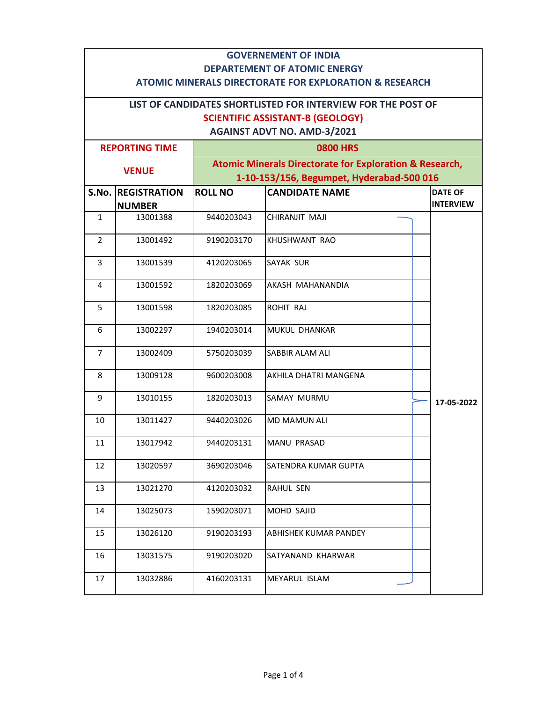|                                                                                                          | <b>GOVERNEMENT OF INDIA</b>                                                   |                |                       |                  |  |  |
|----------------------------------------------------------------------------------------------------------|-------------------------------------------------------------------------------|----------------|-----------------------|------------------|--|--|
| <b>DEPARTEMENT OF ATOMIC ENERGY</b><br><b>ATOMIC MINERALS DIRECTORATE FOR EXPLORATION &amp; RESEARCH</b> |                                                                               |                |                       |                  |  |  |
|                                                                                                          |                                                                               |                |                       |                  |  |  |
|                                                                                                          | LIST OF CANDIDATES SHORTLISTED FOR INTERVIEW FOR THE POST OF                  |                |                       |                  |  |  |
|                                                                                                          | <b>SCIENTIFIC ASSISTANT-B (GEOLOGY)</b><br><b>AGAINST ADVT NO. AMD-3/2021</b> |                |                       |                  |  |  |
|                                                                                                          | <b>REPORTING TIME</b>                                                         |                | <b>0800 HRS</b>       |                  |  |  |
|                                                                                                          | <b>Atomic Minerals Directorate for Exploration &amp; Research,</b>            |                |                       |                  |  |  |
|                                                                                                          | <b>VENUE</b><br>1-10-153/156, Begumpet, Hyderabad-500 016                     |                |                       |                  |  |  |
|                                                                                                          | <b>S.No. REGISTRATION</b>                                                     | <b>ROLL NO</b> | <b>CANDIDATE NAME</b> | <b>DATE OF</b>   |  |  |
|                                                                                                          | <b>NUMBER</b>                                                                 |                |                       | <b>INTERVIEW</b> |  |  |
| $\mathbf{1}$                                                                                             | 13001388                                                                      | 9440203043     | CHIRANJIT MAJI        |                  |  |  |
| $\overline{2}$                                                                                           | 13001492                                                                      | 9190203170     | KHUSHWANT RAO         |                  |  |  |
| 3                                                                                                        | 13001539                                                                      | 4120203065     | <b>SAYAK SUR</b>      |                  |  |  |
| 4                                                                                                        | 13001592                                                                      | 1820203069     | AKASH MAHANANDIA      |                  |  |  |
| 5                                                                                                        | 13001598                                                                      | 1820203085     | ROHIT RAJ             |                  |  |  |
| 6                                                                                                        | 13002297                                                                      | 1940203014     | MUKUL DHANKAR         |                  |  |  |
| $\overline{7}$                                                                                           | 13002409                                                                      | 5750203039     | SABBIR ALAM ALI       |                  |  |  |
| 8                                                                                                        | 13009128                                                                      | 9600203008     | AKHILA DHATRI MANGENA |                  |  |  |
| 9                                                                                                        | 13010155                                                                      | 1820203013     | <b>SAMAY MURMU</b>    | 17-05-2022       |  |  |
| 10                                                                                                       | 13011427                                                                      | 9440203026     | <b>MD MAMUN ALI</b>   |                  |  |  |
| 11                                                                                                       | 13017942                                                                      | 9440203131     | MANU PRASAD           |                  |  |  |
| 12                                                                                                       | 13020597                                                                      | 3690203046     | SATENDRA KUMAR GUPTA  |                  |  |  |
| 13                                                                                                       | 13021270                                                                      | 4120203032     | RAHUL SEN             |                  |  |  |
| 14                                                                                                       | 13025073                                                                      | 1590203071     | MOHD SAJID            |                  |  |  |
| 15                                                                                                       | 13026120                                                                      | 9190203193     | ABHISHEK KUMAR PANDEY |                  |  |  |
| 16                                                                                                       | 13031575                                                                      | 9190203020     | SATYANAND KHARWAR     |                  |  |  |
| 17                                                                                                       | 13032886                                                                      | 4160203131     | MEYARUL ISLAM         |                  |  |  |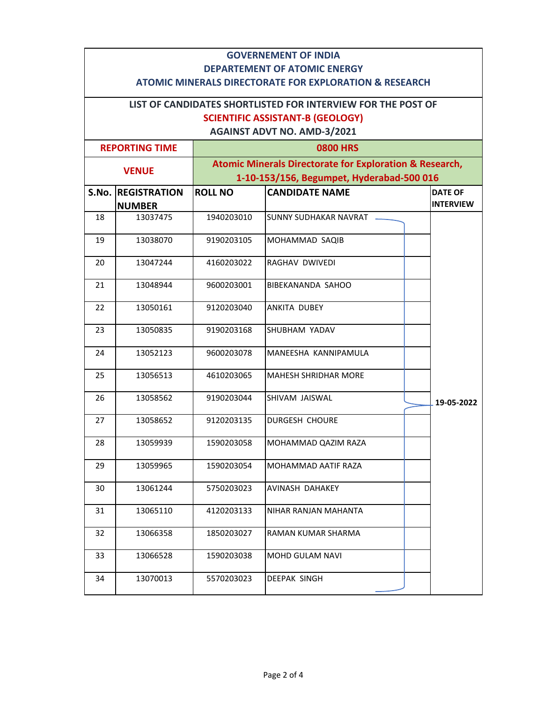|                                                                                               | <b>GOVERNEMENT OF INDIA</b>                                                                                                     |                |                             |                  |  |  |
|-----------------------------------------------------------------------------------------------|---------------------------------------------------------------------------------------------------------------------------------|----------------|-----------------------------|------------------|--|--|
| <b>DEPARTEMENT OF ATOMIC ENERGY</b><br>ATOMIC MINERALS DIRECTORATE FOR EXPLORATION & RESEARCH |                                                                                                                                 |                |                             |                  |  |  |
| LIST OF CANDIDATES SHORTLISTED FOR INTERVIEW FOR THE POST OF                                  |                                                                                                                                 |                |                             |                  |  |  |
| <b>SCIENTIFIC ASSISTANT-B (GEOLOGY)</b>                                                       |                                                                                                                                 |                |                             |                  |  |  |
|                                                                                               | <b>AGAINST ADVT NO. AMD-3/2021</b>                                                                                              |                |                             |                  |  |  |
|                                                                                               | <b>0800 HRS</b><br><b>REPORTING TIME</b>                                                                                        |                |                             |                  |  |  |
|                                                                                               | <b>Atomic Minerals Directorate for Exploration &amp; Research,</b><br><b>VENUE</b><br>1-10-153/156, Begumpet, Hyderabad-500 016 |                |                             |                  |  |  |
|                                                                                               | <b>S.No. REGISTRATION</b>                                                                                                       | <b>ROLL NO</b> | <b>CANDIDATE NAME</b>       | <b>DATE OF</b>   |  |  |
|                                                                                               | <b>NUMBER</b>                                                                                                                   |                |                             | <b>INTERVIEW</b> |  |  |
| 18                                                                                            | 13037475                                                                                                                        | 1940203010     | SUNNY SUDHAKAR NAVRAT       |                  |  |  |
| 19                                                                                            | 13038070                                                                                                                        | 9190203105     | MOHAMMAD SAQIB              |                  |  |  |
| 20                                                                                            | 13047244                                                                                                                        | 4160203022     | RAGHAV DWIVEDI              |                  |  |  |
| 21                                                                                            | 13048944                                                                                                                        | 9600203001     | BIBEKANANDA SAHOO           |                  |  |  |
| 22                                                                                            | 13050161                                                                                                                        | 9120203040     | <b>ANKITA DUBEY</b>         |                  |  |  |
| 23                                                                                            | 13050835                                                                                                                        | 9190203168     | SHUBHAM YADAV               |                  |  |  |
| 24                                                                                            | 13052123                                                                                                                        | 9600203078     | MANEESHA KANNIPAMULA        |                  |  |  |
| 25                                                                                            | 13056513                                                                                                                        | 4610203065     | <b>MAHESH SHRIDHAR MORE</b> |                  |  |  |
| 26                                                                                            | 13058562                                                                                                                        | 9190203044     | SHIVAM JAISWAL              | 19-05-2022       |  |  |
| 27                                                                                            | 13058652                                                                                                                        | 9120203135     | <b>DURGESH CHOURE</b>       |                  |  |  |
| 28                                                                                            | 13059939                                                                                                                        | 1590203058     | MOHAMMAD QAZIM RAZA         |                  |  |  |
| 29                                                                                            | 13059965                                                                                                                        | 1590203054     | MOHAMMAD AATIF RAZA         |                  |  |  |
| 30                                                                                            | 13061244                                                                                                                        | 5750203023     | AVINASH DAHAKEY             |                  |  |  |
| 31                                                                                            | 13065110                                                                                                                        | 4120203133     | NIHAR RANJAN MAHANTA        |                  |  |  |
| 32                                                                                            | 13066358                                                                                                                        | 1850203027     | RAMAN KUMAR SHARMA          |                  |  |  |
| 33                                                                                            | 13066528                                                                                                                        | 1590203038     | MOHD GULAM NAVI             |                  |  |  |
| 34                                                                                            | 13070013                                                                                                                        | 5570203023     | DEEPAK SINGH                |                  |  |  |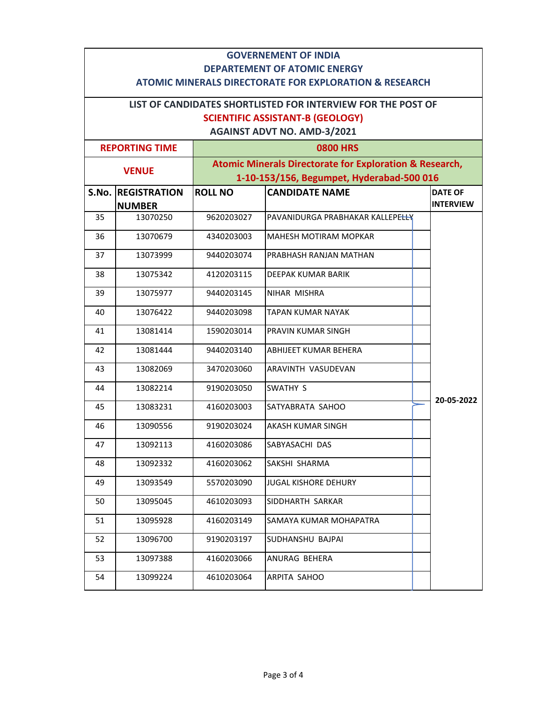|                                                                                               | <b>GOVERNEMENT OF INDIA</b>                                  |                |                                                                                                                 |                                    |  |  |
|-----------------------------------------------------------------------------------------------|--------------------------------------------------------------|----------------|-----------------------------------------------------------------------------------------------------------------|------------------------------------|--|--|
| <b>DEPARTEMENT OF ATOMIC ENERGY</b><br>ATOMIC MINERALS DIRECTORATE FOR EXPLORATION & RESEARCH |                                                              |                |                                                                                                                 |                                    |  |  |
|                                                                                               | LIST OF CANDIDATES SHORTLISTED FOR INTERVIEW FOR THE POST OF |                |                                                                                                                 |                                    |  |  |
|                                                                                               |                                                              |                | <b>SCIENTIFIC ASSISTANT-B (GEOLOGY)</b>                                                                         |                                    |  |  |
|                                                                                               |                                                              |                | <b>AGAINST ADVT NO. AMD-3/2021</b>                                                                              |                                    |  |  |
|                                                                                               | <b>0800 HRS</b><br><b>REPORTING TIME</b>                     |                |                                                                                                                 |                                    |  |  |
| <b>VENUE</b>                                                                                  |                                                              |                | <b>Atomic Minerals Directorate for Exploration &amp; Research,</b><br>1-10-153/156, Begumpet, Hyderabad-500 016 |                                    |  |  |
|                                                                                               | <b>S.No. REGISTRATION</b><br><b>NUMBER</b>                   | <b>ROLL NO</b> | <b>CANDIDATE NAME</b>                                                                                           | <b>DATE OF</b><br><b>INTERVIEW</b> |  |  |
| 35                                                                                            | 13070250                                                     | 9620203027     | PAVANIDURGA PRABHAKAR KALLEPELLY                                                                                |                                    |  |  |
| 36                                                                                            | 13070679                                                     | 4340203003     | <b>MAHESH MOTIRAM MOPKAR</b>                                                                                    |                                    |  |  |
| 37                                                                                            | 13073999                                                     | 9440203074     | PRABHASH RANJAN MATHAN                                                                                          |                                    |  |  |
| 38                                                                                            | 13075342                                                     | 4120203115     | <b>DEEPAK KUMAR BARIK</b>                                                                                       |                                    |  |  |
| 39                                                                                            | 13075977                                                     | 9440203145     | NIHAR MISHRA                                                                                                    |                                    |  |  |
| 40                                                                                            | 13076422                                                     | 9440203098     | <b>TAPAN KUMAR NAYAK</b>                                                                                        |                                    |  |  |
| 41                                                                                            | 13081414                                                     | 1590203014     | PRAVIN KUMAR SINGH                                                                                              |                                    |  |  |
| 42                                                                                            | 13081444                                                     | 9440203140     | ABHIJEET KUMAR BEHERA                                                                                           |                                    |  |  |
| 43                                                                                            | 13082069                                                     | 3470203060     | ARAVINTH VASUDEVAN                                                                                              |                                    |  |  |
| 44                                                                                            | 13082214                                                     | 9190203050     | <b>SWATHY S</b>                                                                                                 |                                    |  |  |
| 45                                                                                            | 13083231                                                     | 4160203003     | SATYABRATA SAHOO                                                                                                | 20-05-2022                         |  |  |
| 46                                                                                            | 13090556                                                     | 9190203024     | AKASH KUMAR SINGH                                                                                               |                                    |  |  |
| 47                                                                                            | 13092113                                                     | 4160203086     | SABYASACHI DAS                                                                                                  |                                    |  |  |
| 48                                                                                            | 13092332                                                     | 4160203062     | SAKSHI SHARMA                                                                                                   |                                    |  |  |
| 49                                                                                            | 13093549                                                     | 5570203090     | <b>JUGAL KISHORE DEHURY</b>                                                                                     |                                    |  |  |
| 50                                                                                            | 13095045                                                     | 4610203093     | SIDDHARTH SARKAR                                                                                                |                                    |  |  |
| 51                                                                                            | 13095928                                                     | 4160203149     | SAMAYA KUMAR MOHAPATRA                                                                                          |                                    |  |  |
| 52                                                                                            | 13096700                                                     | 9190203197     | SUDHANSHU BAJPAI                                                                                                |                                    |  |  |
| 53                                                                                            | 13097388                                                     | 4160203066     | ANURAG BEHERA                                                                                                   |                                    |  |  |
| 54                                                                                            | 13099224                                                     | 4610203064     | ARPITA SAHOO                                                                                                    |                                    |  |  |